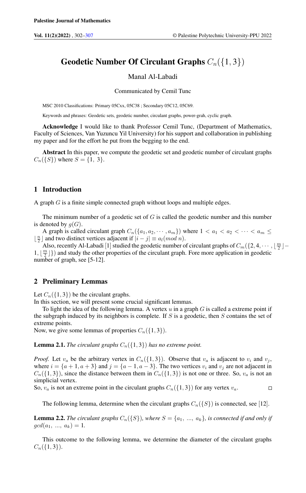# Geodetic Number Of Circulant Graphs  $C_n({1, 3})$

### Manal Al-Labadi

#### Communicated by Cemil Tunc

MSC 2010 Classifications: Primary 05Cxx, 05C38 ; Secondary 05C12, 05C69.

Keywords and phrases: Geodetic sets, geodetic number, circulant graphs, power-grah, cyclic graph.

Acknowledge I would like to thank Professor Cemil Tunc, (Department of Mathematics, Faculty of Sciences, Van Yuzuncu Yil University) for his support and collaboration in publishing my paper and for the effort he put from the begging to the end.

Abstract In this paper, we compute the geodetic set and geodetic number of circulant graphs  $C_n({S})$  where  $S = {1, 3}$ .

## 1 Introduction

A graph G is a finite simple connected graph without loops and multiple edges.

The minimum number of a geodetic set of  $G$  is called the geodetic number and this number is denoted by  $q(G)$ .

A graph is called circulant graph  $C_n({a_1, a_2, \dots, a_m})$  where  $1 < a_1 < a_2 < \dots < a_m \le$  $\lfloor \frac{n}{2} \rfloor$  and two distinct vertices adjacent if  $|i - j| \equiv a_l (mod \ n)$ .

Also, recently Al-Labadi [1] studied the geodetic number of circulant graphs of  $C_m({2, 4, \cdots, \lfloor \frac{m}{2} \rfloor} 1, \lfloor \frac{m}{2} \rfloor$ }) and study the other properties of the circulant graph. Fore more application in geodetic number of graph, see [5-12].

## 2 Preliminary Lemmas

Let  $C_n({1, 3})$  be the circulant graphs.

In this section, we will present some crucial significant lemmas.

To light the idea of the following lemma. A vertex  $u$  in a graph  $G$  is called a extreme point if the subgraph induced by its neighbors is complete. If  $S$  is a geodetic, then  $S$  contains the set of extreme points.

Now, we give some lemmas of properties  $C_n({1, 3})$ .

**Lemma 2.1.** *The circulant graphs*  $C_n({1, 3})$  *has no extreme point.* 

*Proof.* Let  $v_a$  be the arbitrary vertex in  $C_n({1, 3})$ . Observe that  $v_a$  is adjacent to  $v_i$  and  $v_j$ , where  $i = \{a+1, a+3\}$  and  $j = \{a-1, a-3\}$ . The two vertices  $v_i$  and  $v_j$  are not adjacent in  $C_n({1, 3})$ , since the distance between them in  $C_n({1, 3})$  is not one or three. So,  $v_a$  is not an simplicial vertex.

So,  $v_a$  is not an extreme point in the circulant graphs  $C_n({1, 3})$  for any vertex  $v_a$ .  $\Box$ 

The following lemma, determine when the circulant graphs  $C_n({S})$  is connected, see [12].

**Lemma 2.2.** The circulant graphs  $C_n({S})$ *, where*  $S = \{a_1, ..., a_k\}$ *, is connected if and only if*  $gcd(a_1, ..., a_k) = 1.$ 

This outcome to the following lemma, we determine the diameter of the circulant graphs  $C_n({1,3}).$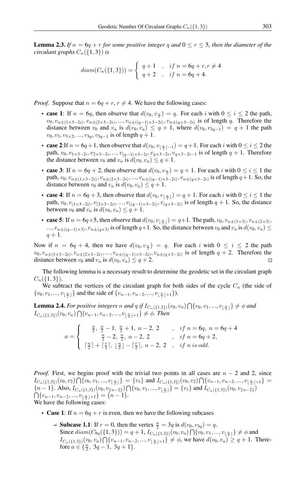**Lemma 2.3.** If  $n = 6q + r$  for some positive integer q and  $0 \le r \le 5$ , then the diameter of the *circulant graphs*  $C_n({1, 3})$  *is* 

$$
diam(C_n({1,3}))) = \begin{cases} q+1, & \text{if } n = 6q+r, r \neq 4 \\ q+2, & \text{if } n = 6q+4. \end{cases}
$$

*Proof.* Suppose that  $n = 6q + r$ ,  $r \neq 4$ . We have the following cases:

- case 1: If  $n = 6q$ , then observe that  $d(v_0, v_{\frac{n}{2}}) = q$ . For each i with  $0 \le i \le 2$  the path,  $v_0, v_{n\pm(1\times3-2i)}, v_{n\pm(2\times3-2i)}, ..., v_{n\pm((q-1)\times3-2i)}, v_{n\pm(q\times3-2i)}$  is of length q. Therefore the distance between  $v_0$  and  $v_a$  is  $d(v_0, v_a) \leq q+1$ , where  $d(v_0, v_{3q-1}) = q+1$  the path  $v_0, v_3, v_{3\times 2}, ..., v_{3q}, v_{3q-1}$  is of length  $q+1$ .
- case 2:If  $n = 6q + 1$ , then observe that  $d(v_0, v_{\lfloor \frac{n}{2} \rfloor 1}) = q + 1$ . For each i with  $0 \le i \le 2$  the path,  $v_0, v_{1 \times 3 - 2i}, v_{2 \times 3 - 2i}, ..., v_{(q-1) \times 3 - 2i}, v_{q \times 3 - 2i}, v_{q \times 3 - 2i - 1}$  is of length  $q + 1$ . Therefore the distance between  $v_0$  and  $v_a$  is  $d(v_0, v_a) \leq q + 1$ .
- case 3: If  $n = 6q + 2$ , then observe that  $d(v_0, v_{\frac{n}{2}}) = q + 1$ . For each i with  $0 \le i \le 1$  the path,  $v_0, v_{n\pm(1\times3-2i)}, v_{n\pm(2\times3-2i)}, ..., v_{n\pm((q-1)\times3-2i)}, v_{n\pm(q\times3-2i)}$  is of length  $q+1$ . So, the distance between  $v_0$  and  $v_a$  is  $d(v_0, v_a) \leq q+1$ .
- case 4: If  $n = 6q + 3$ , then observe that  $d(v_0, v_{\lfloor \frac{n}{2} \rfloor}) = q + 1$ . For each i with  $0 \le i \le 1$  the path,  $v_0, v_{(1 \times 3-2i)}, v_{(2 \times 3-2i)}, ..., v_{((q-1) \times 3-2i)}, v_{(q \times 3-2i)}$  is of length  $q + 1$ . So, the distance between  $v_0$  and  $v_a$  is  $d(v_0, v_a) \leq q+1$ .
- case 5: If  $n = 6q+5$ , then observe that  $d(v_0, v_{\lfloor \frac{n}{2} \rfloor}) = q+1$ . The path,  $v_0, v_{n\pm(1\times3)}, v_{n\pm(2\times3)}$ .  $..., v_{n\pm((q-1)\times 3)}, v_{n\pm(q\times 3)}$  is of length  $q+1$ . So, the distance between  $v_0$  and  $v_a$  is  $d(v_0, v_a) \le$  $q + 1.$

Now if  $n = 6q + 4$ , then we have  $d(v_0, v_{\frac{n}{2}}) = q$ . For each i with  $0 \le i \le 2$  the path  $v_0, v_{n\pm(1\times3-2i)}, v_{n\pm(2\times3-2i)}, ..., v_{n\pm((q-1)\times3-2i)}, v_{n\pm(q\times3-2i)}$  is of length  $q+2$ . Therefore the distance between  $v_0$  and  $v_a$  is  $d(v_0, v_a) \leq q+2$ .

The following lemma is a necessary result to determine the geodetic set in the circulant graph  $C_n({1,3}).$ 

We subtract the vertices of the circulant graph for both sides of the cycle  $C_n$  (the side of  $\{v_0, v_1, ..., v_{\lfloor \frac{n}{2} \rfloor}\}\$  and the side of  $\{v_{n-1}, v_{n-2}, ..., v_{\lfloor \frac{n}{2} \rfloor+1}\}\)$ .

**Lemma 2.4.** For positive integers n and q if  $I_{C_n({1,3})}(v_0, v_a) \bigcap \{v_0, v_1, ..., v_{\lfloor \frac{n}{2} \rfloor}\} \neq \emptyset$  and  $I_{C_n({1,3})}(v_0, v_a) \bigcap \{v_{n-1}, v_{n-2}, ..., v_{\lfloor \frac{n}{2} \rfloor+1}\} \neq \phi$ . Then

$$
a = \begin{cases} \frac{n}{2}, \frac{n}{2} - 1, \frac{n}{2} + 1, n - 2, 2, \dots, & if \ n = 6q, n = 6q + 4 \\ \frac{n}{2} - 2, \frac{n}{2}, n - 2, 2, \dots, & if \ n = 6q + 2, \\ \lceil \frac{n}{2} \rceil + \lceil \frac{r}{2} \rceil, \lfloor \frac{n}{2} \rfloor - \lceil \frac{r}{2} \rceil, n - 2, 2, \dots, & if \ n \ is \ odd. \end{cases}
$$

*Proof.* First, we begins proof with the trivial two points in all cases are  $n - 2$  and 2, since  $I_{C_n({1,3})}(v_0, v_2) \bigcap \{v_0, v_1, ..., v_{\lfloor \frac{n}{2} \rfloor}\} = \{v_1\}$  and  $I_{C_n({1,3})}(v_0, v_2) \bigcap \{v_{n-1}, v_{n-2}, ..., v_{\lfloor \frac{n}{2} \rfloor+1}\} =$  $\{n-1\}$ . Also,  $I_{C_n({1,3})}(v_0, v_{n-2})\cap \{v_0, v_1, ..., v_{\lfloor \frac{n}{2} \rfloor}\} = \{v_1\}$  and  $I_{C_n({1,3})}(v_0, v_{n-2})$  $\bigcap \{v_{n-1}, v_{n-2}, ..., v_{\lfloor \frac{n}{2} \rfloor+1}\} = \{n-1\}.$ We have the following cases:

- Case 1: If  $n = 6q + r$  is even, then we have the following subcases
	- **Subcase 1.1**: If  $r = 0$ , then the vertex  $\frac{n}{2} = 3q$  is  $d(v_0, v_{3q}) = q$ . Since  $diam(C_{6q}(\{1,3\})) = q + 1, I_{C_n(\{1,3\})}(v_0, v_a) \bigcap \{v_0, v_1, ..., v_{\lfloor \frac{n}{2} \rfloor}\}\neq \phi$  and  $I_{C_n({1,3})}(v_0, v_a) \bigcap \{v_{n-1}, v_{n-2}, ..., v_{\lfloor \frac{n}{2} \rfloor+1}\}\neq \emptyset$ , we have  $d(v_0, v_a) \geq q+1$ . Therefore  $a \in \{\frac{n}{2}, 3q-1, 3q+1\}.$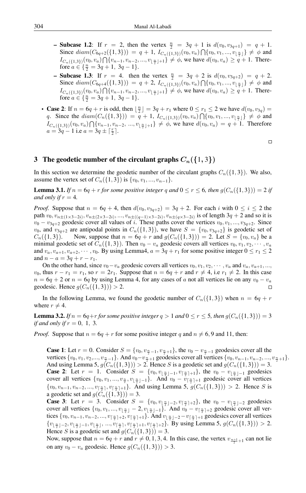- **Subcase 1.2**: If  $r = 2$ , then the vertex  $\frac{n}{2} = 3q + 1$  is  $d(v_0, v_{3q+1}) = q + 1$ . Since  $diam(C_{6q+2}(\{1,3\})) = q + 1$ ,  $I_{C_n(\{1,3\})}(v_0, v_a) \bigcap \{v_0, v_1, ..., v_{\lfloor \frac{n}{2} \rfloor}\}\neq \emptyset$  and  $I_{C_n({1,3})}(v_0, v_a) \bigcap \{v_{n-1}, v_{n-2}, ..., v_{\lfloor \frac{n}{2} \rfloor+1}\}\neq \emptyset$ , we have  $d(v_0, v_a) \geq q+1$ . Therefore  $a \in \{\frac{n}{2} = 3q + 1, 3q - 1\}.$
- Subcase 1.3: If  $r = 4$ . then the vertex  $\frac{n}{2} = 3q + 2$  is  $d(v_0, v_{3q+2}) = q + 2$ . Since  $diam(C_{6q+4}(\{1,3\})) = q + 2$ ,  $I_{C_n(\{1,3\})}(v_0, v_a) \bigcap \{v_0, v_1, ..., v_{\lfloor \frac{n}{2} \rfloor}\}\neq \emptyset$  and  $I_{C_n({1,3})}(v_0, v_a) \bigcap \{v_{n-1}, v_{n-2}, ..., v_{\lfloor \frac{n}{2} \rfloor+1}\} \neq \emptyset$ , we have  $d(v_0, v_a) \geq q+1$ . Therefore  $a \in \{\frac{n}{2} = 3q + 1, 3q - 1\}.$
- Case 2: If  $n = 6q + r$  is odd, then  $\lfloor \frac{n}{2} \rfloor = 3q + r_1$  where  $0 \le r_1 \le 2$  we have  $d(v_0, v_{3q}) =$ q. Since the  $diam(C_n({1,3}))) = q + 1, I_{C_n({1,3})}(v_0, v_a) \bigcap \{v_0, v_1, ..., v_{\lfloor \frac{n}{2} \rfloor}\}\neq \emptyset$  and  $I_{C_n({1,3})}(v_0, v_a) \bigcap \{v_{n-1}, v_{n-2}, ..., v_{\lfloor \frac{n}{2} \rfloor+1}\} \neq \emptyset$ , we have  $d(v_0, v_a) = q + 1$ . Therefore  $a = 3q - 1$  i.e  $a = 3q \pm \lceil \frac{r}{2} \rceil$ .

 $\Box$ 

## 3 The geodetic number of the circulant graphs  $C_n({1,3})$

In this section we determine the geodetic number of the circulant graphs  $C_n({1, 3})$ . We also, assume the vertex set of  $C_n({1, 3})$  is  ${v_0, v_1, ..., v_{n-1}}$ .

**Lemma 3.1.** *If*  $n = 6q + r$  *for some positive integer* q and  $0 \leq r \leq 6$ , *then*  $g(C_n({1, 3})) = 2$  *if and only if*  $r = 4$ *.* 

*Proof.* Suppose that  $n = 6q + 4$ , then  $d(v_0, v_{3q+2}) = 3q + 2$ . For each i with  $0 \le i \le 2$  the path  $v_0, v_{n\pm(1\times3-2i)}, v_{n\pm(2\times3-2i)},..., v_{n\pm((q-1)\times3-2i)}, v_{n\pm(q\times3-2i)}$  is of length  $3q+2$  and so it is  $v_0 - v_{3q+2}$  geodesic cover all values of i. These paths cover the vertices  $v_0, v_1, ..., v_{3q+2}$ . Since  $v_0$ , and  $v_{3q+2}$  are antipodal points in  $C_n({1, 3})$ , we have  $S = {v_0, v_{3q+2}}$  is geodetic set of  $C_n({1, 3})$ . Now, suppose that  $n = 6q + r$  and  $g(C_n({1, 3})) = 2$ . Let  $S = \{v_0, v_a\}$  be a minimal geodetic set of  $C_n({1, 3})$ . Then  $v_0 - v_a$  geodesic covers all vertices  $v_0, v_1, v_2, \cdots, v_a$ and  $v_a, v_{a+1}, v_{a+2}, \dots, v_0$ . By using Lemma4,  $a = 3q + r_1$  for some positive integer  $0 \le r_1 \le 2$ and  $n - a = 3q + r - r_1$ .

On the other hand, since  $v_0 - v_a$  geodesic covers all vertices  $v_0, v_1, v_2, \dots, v_a$  and  $v_a, v_{a+1}, \dots, v_a$  $v_0$ , thus  $r - r_1 = r_1$ , so  $r = 2r_1$ . Suppose that  $n = 6q + r$  and  $r \neq 4$ , i.e  $r_1 \neq 2$ . In this case  $n = 6q + 2$  or  $n = 6q$  by using Lemma 4, for any cases of a not all vertices lie on any  $v_0 - v_a$ geodesic. Hence  $g(C_n({1, 3})) > 2$ .  $\Box$ 

In the following Lemma, we found the geodetic number of  $C_n({1,3})$  when  $n = 6q + r$ where  $r \neq 4$ .

**Lemma 3.2.** *If*  $n = 6q + r$  *for some positive integer*  $q > 1$  *and*  $0 \le r \le 5$ *, then*  $g(C_n({1, 3})) = 3$ *if and only if*  $r = 0, 1, 3$ .

*Proof.* Suppose that  $n = 6q + r$  for some positive integer q and  $n \neq 6, 9$  and 11, then:

**Case 1:** Let  $r = 0$ . Consider  $S = \{v_0, v_{\frac{n}{2}-1}, v_{\frac{n}{2}+1}\}$ , the  $v_0 - v_{\frac{n}{2}-1}$  geodesics cover all the vertices  $\{v_0, v_1, v_2, ..., v_{\frac{n}{2}-1}\}\$ . And  $v_0 - v_{\frac{n}{2}+1}$  geodesics cover all vertices  $\{v_0, v_{n-1}, v_{n-2}, ..., v_{\frac{n}{2}+1}\}\$ . And using Lemma 5,  $g(C_n({1, 3})) > 2$ . Hence *S* is a geodetic set and  $g(C_n({1, 3})) = 3$ . **Case 2:** Let  $r = 1$ . Consider  $S = \{v_0, v_{\lfloor \frac{n}{2} \rfloor - 1}, v_{\lceil \frac{n}{2} \rceil + 1}\}$ , the  $v_0 - v_{\lfloor \frac{n}{2} \rfloor - 1}$  geodesics cover all vertices  $\{v_0, v_1, ..., v_{\frac{n}{2}}, v_{\lfloor \frac{n}{2} \rfloor-1}\}$ . And  $v_0 - v_{\lceil \frac{n}{2} \rceil+1}$  geodesic cover all vertices  $\{v_0, v_{n-1}, v_{n-2}, ..., v_{\lfloor \frac{n}{2} \rfloor}, v_{\lfloor \frac{n}{2} \rfloor+1}\}$ . And using Lemma 5,  $g(C_n(\{1,3\})) > 2$ . Hence S is a geodetic set and  $g(C_n({1, 3})) = 3$ .

**Case 3:** Let  $r = 3$ . Consider  $S = \{v_0, v_{\lfloor \frac{n}{2} \rfloor - 2}, v_{\lceil \frac{n}{2} \rceil + 2}\}$ , the  $v_0 - v_{\lfloor \frac{n}{2} \rfloor - 2}$  geodesics cover all vertices  $\{v_0, v_1, ..., v_{\lfloor \frac{n}{2} \rfloor} - 2, v_{\lfloor \frac{n}{2} \rfloor - 1}\}$ . And  $v_0 - v_{\lceil \frac{n}{2} \rceil + 2}$  geodesic cover all vertices  $\{v_0, v_{n-1}, v_{n-2}, ..., v_{\lfloor \frac{n}{2} \rfloor+2}, v_{\lceil \frac{n}{2} \rceil+1}\}$ . And  $v_{\lfloor \frac{n}{2} \rfloor-2}-v_{\lceil \frac{n}{2} \rceil+1}$  geodesics cover all vertices  ${v_{\lfloor \frac{n}{2} \rfloor - 2}, v_{\lfloor \frac{n}{2} \rfloor - 1}, v_{\lfloor \frac{n}{2} \rfloor}, ..., v_{\lceil \frac{n}{2} \rceil + 1}, v_{\lceil \frac{n}{2} \rceil + 2}}$ . By using Lemma 5,  $g(C_n({1, 3})) > 2$ . Hence S is a geodetic set and  $g(C_n({1, 3})) = 3$ .

Now, suppose that  $n = 6q + r$  and  $r \neq 0, 1, 3, 4$ . In this case, the vertex  $v_{\frac{n+1}{2}+1}$  can not lie on any  $v_0 - v_a$  geodesic. Hence  $g(C_n({1, 3})) > 3$ .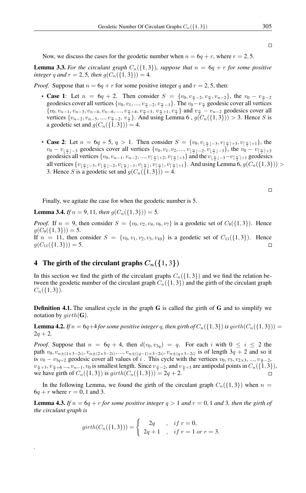Now, we discuss the cases for the geodetic number when  $n = 6q + r$ , where  $r = 2, 5$ .

**Lemma 3.3.** For the circulant graph  $C_n({1, 3})$ *, suppose that*  $n = 6q + r$  for some positive *integer* q and  $r = 2, 5$ *, then*  $q(C_n({1, 3})) = 4$ *.* 

*Proof.* Suppose that  $n = 6q + r$  for some positive integer q and  $r = 2, 5$ , then:

- Case 1: Let  $n = 6q + 2$ . Then consider  $S = \{v_0, v_{\frac{n}{2}-2}, v_{\frac{n}{2}}, v_{n-2}\}$ , the  $v_0 v_{\frac{n}{2}-2}$ geodesics cover all vertices  $\{v_0, v_1, ..., v_{\frac{n}{2}-2}, v_{\frac{n}{2}-1}\}\$ . The  $v_0 - v_{\frac{n}{2}}$  geodesic cover all vertices  $\{v_0, v_{n-1}, v_{n-3}, v_{n-4}, v_{n-6}, ..., v_{\frac{n}{2}+4}, v_{\frac{n}{2}+3}, v_{\frac{n}{2}+1}, v_{\frac{n}{2}}\}$  and  $v_{\frac{n}{2}} - v_{n-2}$  geodesics cover all vertices  $\{v_{n-2}, v_{n-5}, ..., v_{\frac{n}{2}-2}, v_{\frac{n}{2}}\}$ . And using Lemma 6,  $g(C_n(\{1, 3\})) > 3$ . Hence S is a geodetic set and  $g(C_n({1, 3})) = 4$ .
- Case 2: Let  $n = 6q + 5$ ,  $q > 1$ . Then consider  $S = \{v_0, v_{\lfloor \frac{n}{2} \rfloor 3}, v_{\lfloor \frac{n}{2} \rfloor + 3}, v_{\lceil \frac{n}{2} \rceil + 1}\}$ , the  $v_0 - v_{\lfloor \frac{n}{2} \rfloor - 3}$  geodesics cover all vertices  $\{v_0, v_1, v_2, ..., v_{\lfloor \frac{n}{2} \rfloor - 2}, v_{\lfloor \frac{n}{2} \rfloor - 3}\}$ , the  $v_0 - v_{\lfloor \frac{n}{2} \rfloor + 3}$ geodesics all vertices  $\{v_0, v_{n-1}, v_{n-2}, ..., v_{\lfloor \frac{n}{2} \rfloor+2}, v_{\lfloor \frac{n}{2} \rfloor+3}\}$  and the  $v_{\lfloor \frac{n}{2} \rfloor-3}-v_{\lfloor \frac{n}{2} \rfloor+1}$  geodesics all vertices  $\{v_{\lfloor \frac{n}{2} \rfloor - 3}, v_{\lfloor \frac{n}{2} \rfloor - 2}, v_{\lfloor \frac{n}{2} \rfloor - 1}, v_{\lfloor \frac{n}{2} \rfloor}, v_{\lceil \frac{n}{2} \rceil}, v_{\lceil \frac{n}{2} \rceil + 1}\}$ . And using Lemma 6,  $g(C_n(\{1,3\}))$  > 3. Hence S is a geodetic set and  $g(C_n({1, 3})) = 4$ .

 $\Box$ 

Finally, we agitate the case for when the geodetic number is 5.

**Lemma 3.4.** *If*  $n = 9, 11$ *, then*  $g(C_n({1, 3})) = 5$ *.* 

*Proof.* If  $n = 9$ , then consider  $S = \{v_0, v_2, v_4, v_6, v_7\}$  is a geodetic set of  $C_9(\{1, 3\})$ . Hence  $g(C_9({1, 3})) = 5.$ If  $n = 11$ , then consider  $S = \{v_0, v_1, v_2, v_3, v_{10}\}$  is a geodetic set of  $C_{11}(\{1, 3\})$ . Hence  $g(C_{11}(\{1,3\})) = 5.$  $\Box$ 

## 4 The girth of the circulant graphs  $C_n({1,3})$

*.*

In this section we find the girth of the circulant graphs  $C_n({1, 3})$  and we find the relation between the geodetic number of the circulant graph  $C_n({1, 3})$  and the girth of the circulant graph  $C_n({1,3}).$ 

Definition 4.1. The smallest cycle in the graph G is called the girth of G and to simplify we notation by  $girth(G)$ .

**Lemma 4.2.** *If*  $n = 6q+4$  *for some positive integer q, then girth of*  $C_n({1, 3})$  *is girth* $(C_n({1, 3}))$  =  $2q + 2.$ 

*Proof.* Suppose that  $n = 6q + 4$ , then  $d(v_0, v_{3q}) = q$ . For each i with  $0 \le i \le 2$  the path  $v_0, v_{n\pm(1\times3-2i)}, v_{n\pm(2\times3-2i)},..., v_{n\pm((q-1)\times3-2i)}, v_{n\pm(q\times3-2i)}$  is of length  $3q+2$  and so it is  $v_0 - v_{3q+2}$  geodesic cover all values of i. This cycle with the vertices  $v_0, v_3, v_{2\times 3}, ..., v_{\frac{n}{2}-2}$ ,  $v_{\frac{n}{2}+3}$ ,  $v_{\frac{n}{2}+6}$  ...,  $v_{n-1}$ ,  $v_0$  is smallest length. Since  $v_{\frac{n}{2}-2}$ , and  $v_{\frac{n}{2}+3}$  are antipodal points in  $C_n({1,3})$ , we have girth of  $C_n({1, 3})$  is  $girth(C_n({1, 3})) = 2q + 2$ .

In the following Lemma, we found the girth of the circulant graph  $C_n({1, 3})$  when  $n =$  $6q + r$  where  $r = 0, 1$  and 3.

**Lemma 4.3.** If  $n = 6q + r$  for some positive integer  $q > 1$  and  $r = 0, 1$  and 3, then the girth of *the circulant graph is*

$$
girth(C_n(\{1,3\})) = \begin{cases} 2q & , if r = 0, \\ 2q+1 & , if r = 1 \text{ or } r = 3. \end{cases}
$$

 $\Box$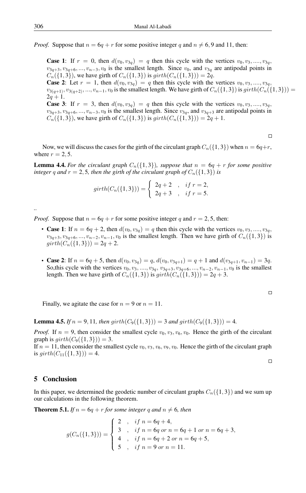*Proof.* Suppose that  $n = 6q + r$  for some positive integer q and  $n \neq 6, 9$  and 11, then:

**Case 1:** If  $r = 0$ , then  $d(v_0, v_{3q}) = q$  then this cycle with the vertices  $v_0, v_3, \ldots, v_{3q}$ ,  $v_{3q+3}, v_{3q+6}, ..., v_{n-3}, v_0$  is the smallest length. Since  $v_0$ , and  $v_{3q}$  are antipodal points in  $C_n({1, 3})$ , we have girth of  $C_n({1, 3})$  is  $girth(C_n({1, 3})) = 2q$ . **Case 2:** Let  $r = 1$ , then  $d(v_0, v_{3q}) = q$  then this cycle with the vertices  $v_0, v_3, \ldots, v_{3q}$ ,  $v_{3(q+1)}, v_{3(q+2)}, ..., v_{n-1}, v_0$  is the smallest length. We have girth of  $C_n({1, 3})$  is  $girth(C_n({1, 3}))$  =  $2q + 1$ . **Case 3:** If  $r = 3$ , then  $d(v_0, v_{3q}) = q$  then this cycle with the vertices  $v_0, v_3, \ldots, v_{3q}$ ,  $v_{3q+3}, v_{3q+6}, ..., v_{n-3}, v_0$  is the smallest length. Since  $v_{3q}$ , and  $v_{3q+3}$  are antipodal points in  $C_n({1, 3})$ , we have girth of  $C_n({1, 3})$  is  $girth(C_n({1, 3})) = 2q + 1$ .

 $\Box$ 

Now, we will discuss the cases for the girth of the circulant graph  $C_n({1, 3})$  when  $n = 6q+r$ , where  $r = 2, 5$ .

**Lemma 4.4.** For the circulant graph  $C_n({1, 3})$ *, suppose that*  $n = 6q + r$  for some positive *integer* q and  $r = 2, 5$ *, then the girth of the circulant graph of*  $C_n({1, 3})$  *is* 

$$
girth(C_n(\{1,3\})) = \begin{cases} 2q+2, & if r = 2, \\ 2q+3, & if r = 5. \end{cases}
$$

*Proof.* Suppose that  $n = 6q + r$  for some positive integer q and  $r = 2, 5$ , then:

- Case 1: If  $n = 6q + 2$ , then  $d(v_0, v_{3q}) = q$  then this cycle with the vertices  $v_0, v_3, ..., v_{3q}$ ,  $v_{3q+3}, v_{3q+6}, ..., v_{n-2}, v_{n-1}, v_0$  is the smallest length. Then we have girth of  $C_n({1, 3})$  is  $girth(C_n({1, 3})) = 2q + 2.$
- Case 2: If  $n = 6q + 5$ , then  $d(v_0, v_{3q}) = q$ ,  $d(v_0, v_{3q+1}) = q + 1$  and  $d(v_{3q+1}, v_{n-1}) = 3q$ . So,this cycle with the vertices  $v_0, v_3, \ldots, v_{3q}, v_{3q+3}, v_{3q+6}, \ldots, v_{n-2}, v_{n-1}, v_0$  is the smallest length. Then we have girth of  $C_n({1, 3})$  is  $girth(C_n({1, 3})) = 2q + 3$ .

 $\Box$ 

Finally, we agitate the case for  $n = 9$  or  $n = 11$ .

**Lemma 4.5.** *If*  $n = 9, 11$ *, then* girth( $C_9({1, 3})$ ) = 3 *and* girth( $C_9({1, 3})$ ) = 4*.* 

*Proof.* If  $n = 9$ , then consider the smallest cycle  $v_0, v_3, v_6, v_0$ . Hence the girth of the circulant graph is  $girth(C_9({1, 3})) = 3.$ 

If  $n = 11$ , then consider the smallest cycle  $v_0, v_3, v_6, v_9, v_0$ . Hence the girth of the circulant graph is  $girth(C_{11}({1, 3})) = 4.$ 

 $\Box$ 

#### 5 Conclusion

In this paper, we determined the geodetic number of circulant graphs  $C_n({1, 3})$  and we sum up our calculations in the following theorem.

**Theorem 5.1.** *If*  $n = 6q + r$  *for some integer* q *and*  $n \neq 6$ *, then* 

$$
g(C_n({1,3}))) = \begin{cases} 2, & if n = 6q + 4, \\ 3, & if n = 6q \text{ or } n = 6q + 1 \text{ or } n = 6q + 3, \\ 4, & if n = 6q + 2 \text{ or } n = 6q + 5, \\ 5, & if n = 9 \text{ or } n = 11. \end{cases}
$$

*..*